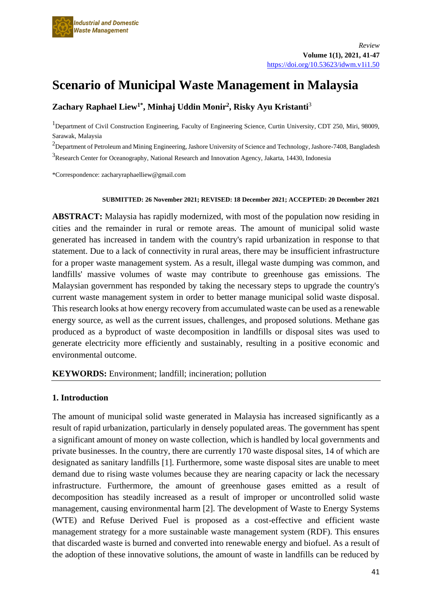

# **Scenario of Municipal Waste Management in Malaysia**

# **Zachary Raphael Liew1\* , Minhaj Uddin Monir<sup>2</sup> , Risky Ayu Kristanti**<sup>3</sup>

<sup>1</sup>Department of Civil Construction Engineering, Faculty of Engineering Science, Curtin University, CDT 250, Miri, 98009, Sarawak, Malaysia

<sup>2</sup>Department of Petroleum and Mining Engineering, Jashore University of Science and Technology, Jashore-7408, Bangladesh <sup>3</sup> Research Center for Oceanography, National Research and Innovation Agency, Jakarta, 14430, Indonesia

\*Correspondence: zacharyraphaelliew@gmail.com

#### **SUBMITTED: 26 November 2021; REVISED: 18 December 2021; ACCEPTED: 20 December 2021**

**ABSTRACT:** Malaysia has rapidly modernized, with most of the population now residing in cities and the remainder in rural or remote areas. The amount of municipal solid waste generated has increased in tandem with the country's rapid urbanization in response to that statement. Due to a lack of connectivity in rural areas, there may be insufficient infrastructure for a proper waste management system. As a result, illegal waste dumping was common, and landfills' massive volumes of waste may contribute to greenhouse gas emissions. The Malaysian government has responded by taking the necessary steps to upgrade the country's current waste management system in order to better manage municipal solid waste disposal. This research looks at how energy recovery from accumulated waste can be used as a renewable energy source, as well as the current issues, challenges, and proposed solutions. Methane gas produced as a byproduct of waste decomposition in landfills or disposal sites was used to generate electricity more efficiently and sustainably, resulting in a positive economic and environmental outcome.

#### **KEYWORDS:** Environment; landfill; incineration; pollution

#### **1. Introduction**

The amount of municipal solid waste generated in Malaysia has increased significantly as a result of rapid urbanization, particularly in densely populated areas. The government has spent a significant amount of money on waste collection, which is handled by local governments and private businesses. In the country, there are currently 170 waste disposal sites, 14 of which are designated as sanitary landfills [1]. Furthermore, some waste disposal sites are unable to meet demand due to rising waste volumes because they are nearing capacity or lack the necessary infrastructure. Furthermore, the amount of greenhouse gases emitted as a result of decomposition has steadily increased as a result of improper or uncontrolled solid waste management, causing environmental harm [2]. The development of Waste to Energy Systems (WTE) and Refuse Derived Fuel is proposed as a cost-effective and efficient waste management strategy for a more sustainable waste management system (RDF). This ensures that discarded waste is burned and converted into renewable energy and biofuel. As a result of the adoption of these innovative solutions, the amount of waste in landfills can be reduced by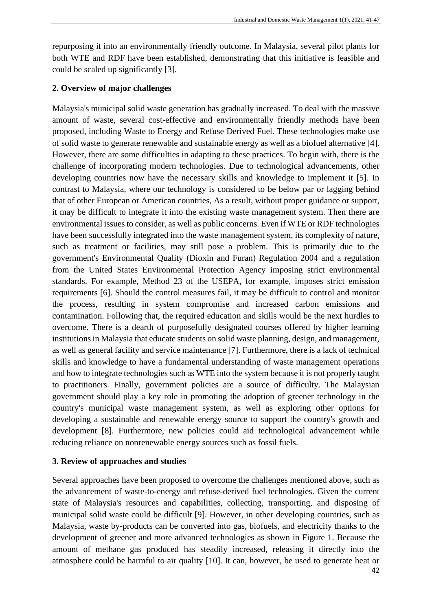repurposing it into an environmentally friendly outcome. In Malaysia, several pilot plants for both WTE and RDF have been established, demonstrating that this initiative is feasible and could be scaled up significantly [3].

## **2. Overview of major challenges**

Malaysia's municipal solid waste generation has gradually increased. To deal with the massive amount of waste, several cost-effective and environmentally friendly methods have been proposed, including Waste to Energy and Refuse Derived Fuel. These technologies make use of solid waste to generate renewable and sustainable energy as well as a biofuel alternative [4]. However, there are some difficulties in adapting to these practices. To begin with, there is the challenge of incorporating modern technologies. Due to technological advancements, other developing countries now have the necessary skills and knowledge to implement it [5]. In contrast to Malaysia, where our technology is considered to be below par or lagging behind that of other European or American countries, As a result, without proper guidance or support, it may be difficult to integrate it into the existing waste management system. Then there are environmental issues to consider, as well as public concerns. Even if WTE or RDF technologies have been successfully integrated into the waste management system, its complexity of nature, such as treatment or facilities, may still pose a problem. This is primarily due to the government's Environmental Quality (Dioxin and Furan) Regulation 2004 and a regulation from the United States Environmental Protection Agency imposing strict environmental standards. For example, Method 23 of the USEPA, for example, imposes strict emission requirements [6]. Should the control measures fail, it may be difficult to control and monitor the process, resulting in system compromise and increased carbon emissions and contamination. Following that, the required education and skills would be the next hurdles to overcome. There is a dearth of purposefully designated courses offered by higher learning institutions in Malaysia that educate students on solid waste planning, design, and management, as well as general facility and service maintenance [7]. Furthermore, there is a lack of technical skills and knowledge to have a fundamental understanding of waste management operations and how to integrate technologies such as WTE into the system because it is not properly taught to practitioners. Finally, government policies are a source of difficulty. The Malaysian government should play a key role in promoting the adoption of greener technology in the country's municipal waste management system, as well as exploring other options for developing a sustainable and renewable energy source to support the country's growth and development [8]. Furthermore, new policies could aid technological advancement while reducing reliance on nonrenewable energy sources such as fossil fuels.

## **3. Review of approaches and studies**

Several approaches have been proposed to overcome the challenges mentioned above, such as the advancement of waste-to-energy and refuse-derived fuel technologies. Given the current state of Malaysia's resources and capabilities, collecting, transporting, and disposing of municipal solid waste could be difficult [9]. However, in other developing countries, such as Malaysia, waste by-products can be converted into gas, biofuels, and electricity thanks to the development of greener and more advanced technologies as shown in Figure 1. Because the amount of methane gas produced has steadily increased, releasing it directly into the atmosphere could be harmful to air quality [10]. It can, however, be used to generate heat or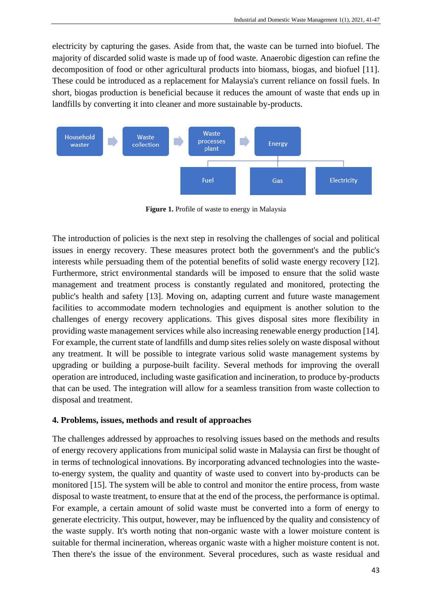electricity by capturing the gases. Aside from that, the waste can be turned into biofuel. The majority of discarded solid waste is made up of food waste. Anaerobic digestion can refine the decomposition of food or other agricultural products into biomass, biogas, and biofuel [11]. These could be introduced as a replacement for Malaysia's current reliance on fossil fuels. In short, biogas production is beneficial because it reduces the amount of waste that ends up in landfills by converting it into cleaner and more sustainable by-products.



**Figure 1.** Profile of waste to energy in Malaysia

The introduction of policies is the next step in resolving the challenges of social and political issues in energy recovery. These measures protect both the government's and the public's interests while persuading them of the potential benefits of solid waste energy recovery [12]. Furthermore, strict environmental standards will be imposed to ensure that the solid waste management and treatment process is constantly regulated and monitored, protecting the public's health and safety [13]. Moving on, adapting current and future waste management facilities to accommodate modern technologies and equipment is another solution to the challenges of energy recovery applications. This gives disposal sites more flexibility in providing waste management services while also increasing renewable energy production [14]. For example, the current state of landfills and dump sites relies solely on waste disposal without any treatment. It will be possible to integrate various solid waste management systems by upgrading or building a purpose-built facility. Several methods for improving the overall operation are introduced, including waste gasification and incineration, to produce by-products that can be used. The integration will allow for a seamless transition from waste collection to disposal and treatment.

#### **4. Problems, issues, methods and result of approaches**

The challenges addressed by approaches to resolving issues based on the methods and results of energy recovery applications from municipal solid waste in Malaysia can first be thought of in terms of technological innovations. By incorporating advanced technologies into the wasteto-energy system, the quality and quantity of waste used to convert into by-products can be monitored [15]. The system will be able to control and monitor the entire process, from waste disposal to waste treatment, to ensure that at the end of the process, the performance is optimal. For example, a certain amount of solid waste must be converted into a form of energy to generate electricity. This output, however, may be influenced by the quality and consistency of the waste supply. It's worth noting that non-organic waste with a lower moisture content is suitable for thermal incineration, whereas organic waste with a higher moisture content is not. Then there's the issue of the environment. Several procedures, such as waste residual and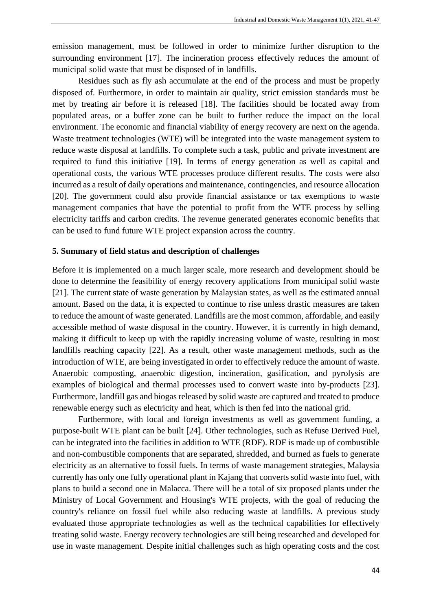emission management, must be followed in order to minimize further disruption to the surrounding environment [17]. The incineration process effectively reduces the amount of municipal solid waste that must be disposed of in landfills.

Residues such as fly ash accumulate at the end of the process and must be properly disposed of. Furthermore, in order to maintain air quality, strict emission standards must be met by treating air before it is released [18]. The facilities should be located away from populated areas, or a buffer zone can be built to further reduce the impact on the local environment. The economic and financial viability of energy recovery are next on the agenda. Waste treatment technologies (WTE) will be integrated into the waste management system to reduce waste disposal at landfills. To complete such a task, public and private investment are required to fund this initiative [19]. In terms of energy generation as well as capital and operational costs, the various WTE processes produce different results. The costs were also incurred as a result of daily operations and maintenance, contingencies, and resource allocation [20]. The government could also provide financial assistance or tax exemptions to waste management companies that have the potential to profit from the WTE process by selling electricity tariffs and carbon credits. The revenue generated generates economic benefits that can be used to fund future WTE project expansion across the country.

#### **5. Summary of field status and description of challenges**

Before it is implemented on a much larger scale, more research and development should be done to determine the feasibility of energy recovery applications from municipal solid waste [21]. The current state of waste generation by Malaysian states, as well as the estimated annual amount. Based on the data, it is expected to continue to rise unless drastic measures are taken to reduce the amount of waste generated. Landfills are the most common, affordable, and easily accessible method of waste disposal in the country. However, it is currently in high demand, making it difficult to keep up with the rapidly increasing volume of waste, resulting in most landfills reaching capacity [22]. As a result, other waste management methods, such as the introduction of WTE, are being investigated in order to effectively reduce the amount of waste. Anaerobic composting, anaerobic digestion, incineration, gasification, and pyrolysis are examples of biological and thermal processes used to convert waste into by-products [23]. Furthermore, landfill gas and biogas released by solid waste are captured and treated to produce renewable energy such as electricity and heat, which is then fed into the national grid.

Furthermore, with local and foreign investments as well as government funding, a purpose-built WTE plant can be built [24]. Other technologies, such as Refuse Derived Fuel, can be integrated into the facilities in addition to WTE (RDF). RDF is made up of combustible and non-combustible components that are separated, shredded, and burned as fuels to generate electricity as an alternative to fossil fuels. In terms of waste management strategies, Malaysia currently has only one fully operational plant in Kajang that converts solid waste into fuel, with plans to build a second one in Malacca. There will be a total of six proposed plants under the Ministry of Local Government and Housing's WTE projects, with the goal of reducing the country's reliance on fossil fuel while also reducing waste at landfills. A previous study evaluated those appropriate technologies as well as the technical capabilities for effectively treating solid waste. Energy recovery technologies are still being researched and developed for use in waste management. Despite initial challenges such as high operating costs and the cost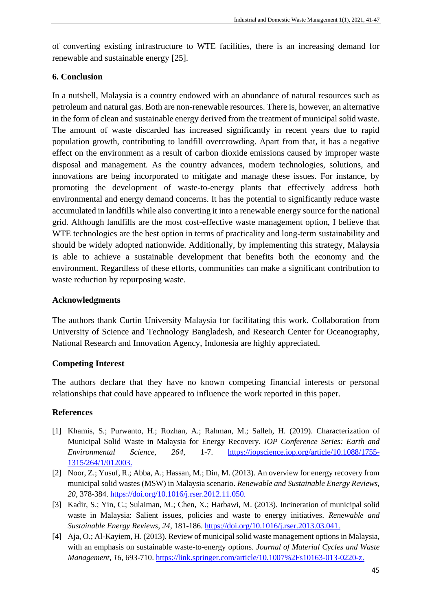of converting existing infrastructure to WTE facilities, there is an increasing demand for renewable and sustainable energy [25].

## **6. Conclusion**

In a nutshell, Malaysia is a country endowed with an abundance of natural resources such as petroleum and natural gas. Both are non-renewable resources. There is, however, an alternative in the form of clean and sustainable energy derived from the treatment of municipal solid waste. The amount of waste discarded has increased significantly in recent years due to rapid population growth, contributing to landfill overcrowding. Apart from that, it has a negative effect on the environment as a result of carbon dioxide emissions caused by improper waste disposal and management. As the country advances, modern technologies, solutions, and innovations are being incorporated to mitigate and manage these issues. For instance, by promoting the development of waste-to-energy plants that effectively address both environmental and energy demand concerns. It has the potential to significantly reduce waste accumulated in landfills while also converting it into a renewable energy source for the national grid. Although landfills are the most cost-effective waste management option, I believe that WTE technologies are the best option in terms of practicality and long-term sustainability and should be widely adopted nationwide. Additionally, by implementing this strategy, Malaysia is able to achieve a sustainable development that benefits both the economy and the environment. Regardless of these efforts, communities can make a significant contribution to waste reduction by repurposing waste.

## **Acknowledgments**

The authors thank Curtin University Malaysia for facilitating this work. Collaboration from University of Science and Technology Bangladesh, and Research Center for Oceanography, National Research and Innovation Agency, Indonesia are highly appreciated.

## **Competing Interest**

The authors declare that they have no known competing financial interests or personal relationships that could have appeared to influence the work reported in this paper.

## **References**

- [1] Khamis, S.; Purwanto, H.; Rozhan, A.; Rahman, M.; Salleh, H. (2019). Characterization of Municipal Solid Waste in Malaysia for Energy Recovery. *IOP Conference Series: Earth and Environmental Science, 264*, 1-7. [https://iopscience.iop.org/article/10.1088/1755-](https://iopscience.iop.org/article/10.1088/1755-1315/264/1/012003) [1315/264/1/012003.](https://iopscience.iop.org/article/10.1088/1755-1315/264/1/012003)
- [2] Noor, Z.; Yusuf, R.; Abba, A.; Hassan, M.; Din, M. (2013). An overview for energy recovery from municipal solid wastes (MSW) in Malaysia scenario. *Renewable and Sustainable Energy Reviews, 20*, 378-384. [https://doi.org/10.1016/j.rser.2012.11.050.](https://doi.org/10.1016/j.rser.2012.11.050)
- [3] Kadir, S.; Yin, C.; Sulaiman, M.; Chen, X.; Harbawi, M. (2013). Incineration of municipal solid waste in Malaysia: Salient issues, policies and waste to energy initiatives. *Renewable and Sustainable Energy Reviews, 24*, 181-186. [https://doi.org/10.1016/j.rser.2013.03.041.](https://doi.org/10.1016/j.rser.2013.03.041)
- [4] Aja, O.; Al-Kayiem, H. (2013). Review of municipal solid waste management options in Malaysia, with an emphasis on sustainable waste-to-energy options. *Journal of Material Cycles and Waste Management, 16*, 693-710. [https://link.springer.com/article/10.1007%2Fs10163-013-0220-z.](https://link.springer.com/article/10.1007%2Fs10163-013-0220-z)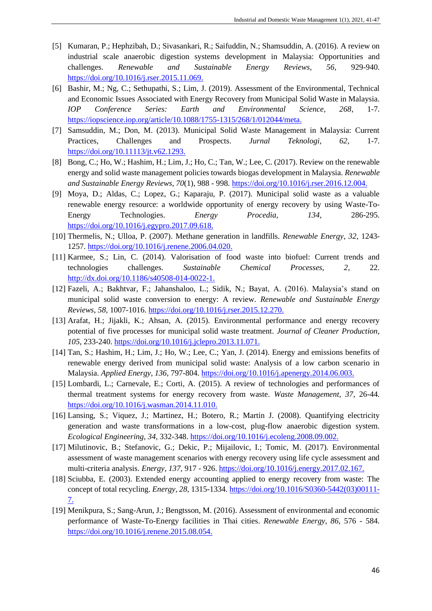- [5] Kumaran, P.; Hephzibah, D.; Sivasankari, R.; Saifuddin, N.; Shamsuddin, A. (2016). A review on industrial scale anaerobic digestion systems development in Malaysia: Opportunities and challenges. *Renewable and Sustainable Energy Reviews, 56*, 929-940. [https://doi.org/10.1016/j.rser.2015.11.069.](https://doi.org/10.1016/j.rser.2015.11.069)
- [6] Bashir, M.; Ng, C.; Sethupathi, S.; Lim, J. (2019). Assessment of the Environmental, Technical and Economic Issues Associated with Energy Recovery from Municipal Solid Waste in Malaysia. *IOP Conference Series: Earth and Environmental Science, 268*, 1-7. [https://iopscience.iop.org/article/10.1088/1755-1315/268/1/012044/meta.](https://iopscience.iop.org/article/10.1088/1755-1315/268/1/012044/meta)
- [7] Samsuddin, M.; Don, M. (2013). Municipal Solid Waste Management in Malaysia: Current Practices, Challenges and Prospects. *Jurnal Teknologi, 62*, 1-7. [https://doi.org/10.11113/jt.v62.1293.](https://doi.org/10.11113/jt.v62.1293)
- [8] Bong, C.; Ho, W.; Hashim, H.; Lim, J.; Ho, C.; Tan, W.; Lee, C. (2017). Review on the renewable energy and solid waste management policies towards biogas development in Malaysia. *Renewable and Sustainable Energy Reviews, 70*(1), 988 - 998[. https://doi.org/10.1016/j.rser.2016.12.004.](https://doi.org/10.1016/j.rser.2016.12.004)
- [9] Moya, D.; Aldas, C.; Lopez, G.; Kaparaju, P. (2017). Municipal solid waste as a valuable renewable energy resource: a worldwide opportunity of energy recovery by using Waste-To-Energy Technologies. *Energy Procedia, 134*, 286-295. [https://doi.org/10.1016/j.egypro.2017.09.618.](https://doi.org/10.1016/j.egypro.2017.09.618)
- [10] Thermelis, N.; Ulloa, P. (2007). Methane generation in landfills. *Renewable Energy, 32*, 1243- 1257. [https://doi.org/10.1016/j.renene.2006.04.020.](https://doi.org/10.1016/j.renene.2006.04.020)
- [11] Karmee, S.; Lin, C. (2014). Valorisation of food waste into biofuel: Current trends and technologies challenges. *Sustainable Chemical Processes, 2*, 22. [http://dx.doi.org/10.1186/s40508-014-0022-1.](http://dx.doi.org/10.1186/s40508-014-0022-1)
- [12] Fazeli, A.; Bakhtvar, F.; Jahanshaloo, L.; Sidik, N.; Bayat, A. (2016). Malaysia's stand on municipal solid waste conversion to energy: A review. *Renewable and Sustainable Energy Reviews, 58*, 1007-1016. [https://doi.org/10.1016/j.rser.2015.12.270.](https://doi.org/10.1016/j.rser.2015.12.270)
- [13] Arafat, H.; Jijakli, K.; Ahsan, A. (2015). Environmental performance and energy recovery potential of five processes for municipal solid waste treatment. *Journal of Cleaner Production, 105*, 233-240. [https://doi.org/10.1016/j.jclepro.2013.11.071.](https://doi.org/10.1016/j.jclepro.2013.11.071)
- [14] Tan, S.; Hashim, H.; Lim, J.; Ho, W.; Lee, C.; Yan, J. (2014). Energy and emissions benefits of renewable energy derived from municipal solid waste: Analysis of a low carbon scenario in Malaysia. *Applied Energy, 136*, 797-804. [https://doi.org/10.1016/j.apenergy.2014.06.003.](https://doi.org/10.1016/j.apenergy.2014.06.003)
- [15] Lombardi, L.; Carnevale, E.; Corti, A. (2015). A review of technologies and performances of thermal treatment systems for energy recovery from waste. *Waste Management, 37*, 26-44. [https://doi.org/10.1016/j.wasman.2014.11.010.](https://doi.org/10.1016/j.wasman.2014.11.010)
- [16] Lansing, S.; Viquez, J.; Martinez, H.; Botero, R.; Martin J. (2008). Quantifying electricity generation and waste transformations in a low-cost, plug-flow anaerobic digestion system. *Ecological Engineering, 34*, 332-348. [https://doi.org/10.1016/j.ecoleng.2008.09.002.](https://doi.org/10.1016/j.ecoleng.2008.09.002)
- [17] Milutinovic, B.; Stefanovic, G.; Dekic, P.; Mijailovic, I.; Tomic, M. (2017). Environmental assessment of waste management scenarios with energy recovery using life cycle assessment and multi-criteria analysis. *Energy, 137*, 917 - 926. [https://doi.org/10.1016/j.energy.2017.02.167.](https://doi.org/10.1016/j.energy.2017.02.167)
- [18] Sciubba, E. (2003). Extended energy accounting applied to energy recovery from waste: The concept of total recycling. *Energy, 28*, 1315-1334. [https://doi.org/10.1016/S0360-5442\(03\)00111-](https://doi.org/10.1016/S0360-5442(03)00111-7) [7.](https://doi.org/10.1016/S0360-5442(03)00111-7)
- [19] Menikpura, S.; Sang-Arun, J.; Bengtsson, M. (2016). Assessment of environmental and economic performance of Waste-To-Energy facilities in Thai cities. *Renewable Energy, 86*, 576 - 584. [https://doi.org/10.1016/j.renene.2015.08.054.](https://doi.org/10.1016/j.renene.2015.08.054)